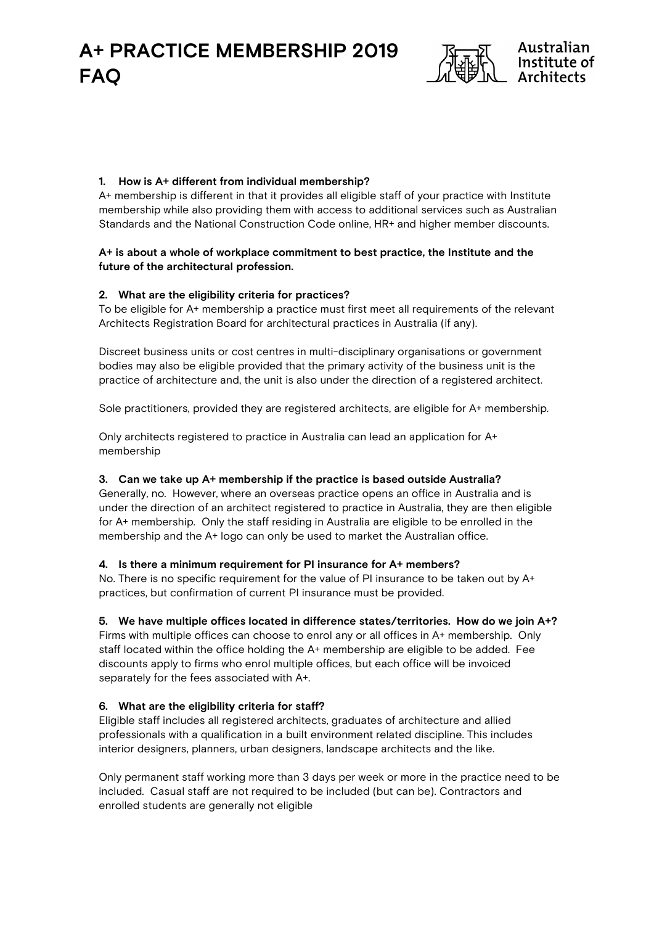

# 1. How is A+ different from individual membership?

A+ membership is different in that it provides all eligible staff of your practice with Institute membership while also providing them with access to additional services such as Australian Standards and the National Construction Code online, HR+ and higher member discounts.

#### A+ is about a whole of workplace commitment to best practice, the Institute and the future of the architectural profession.

### 2. What are the eligibility criteria for practices?

To be eligible for A+ membership a practice must first meet all requirements of the relevant Architects Registration Board for architectural practices in Australia (if any).

Discreet business units or cost centres in multi-disciplinary organisations or government bodies may also be eligible provided that the primary activity of the business unit is the practice of architecture and, the unit is also under the direction of a registered architect.

Sole practitioners, provided they are registered architects, are eligible for A+ membership.

Only architects registered to practice in Australia can lead an application for A+ membership

#### 3. Can we take up A+ membership if the practice is based outside Australia?

Generally, no. However, where an overseas practice opens an office in Australia and is under the direction of an architect registered to practice in Australia, they are then eligible for A+ membership. Only the staff residing in Australia are eligible to be enrolled in the membership and the A+ logo can only be used to market the Australian office.

#### 4. Is there a minimum requirement for PI insurance for A+ members?

No. There is no specific requirement for the value of PI insurance to be taken out by A+ practices, but confirmation of current PI insurance must be provided.

#### 5. We have multiple offices located in difference states/territories. How do we join A+?

Firms with multiple offices can choose to enrol any or all offices in A+ membership. Only staff located within the office holding the A+ membership are eligible to be added. Fee discounts apply to firms who enrol multiple offices, but each office will be invoiced separately for the fees associated with A+.

#### 6. What are the eligibility criteria for staff?

Eligible staff includes all registered architects, graduates of architecture and allied professionals with a qualification in a built environment related discipline. This includes interior designers, planners, urban designers, landscape architects and the like.

Only permanent staff working more than 3 days per week or more in the practice need to be included. Casual staff are not required to be included (but can be). Contractors and enrolled students are generally not eligible